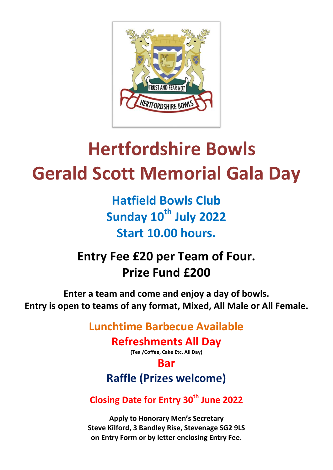

# **Hertfordshire Bowls Gerald Scott Memorial Gala Day**

**Hatfield Bowls Club Sunday 10th July 2022 Start 10.00 hours.**

# **Entry Fee £20 per Team of Four. Prize Fund £200**

**Enter a team and come and enjoy a day of bowls. Entry is open to teams of any format, Mixed, All Male or All Female.**

## **Lunchtime Barbecue Available**

### **Refreshments All Day**

**(Tea /Coffee, Cake Etc. All Day)**

#### **Bar**

# **Raffle (Prizes welcome)**

### **Closing Date for Entry 30 th June 2022**

**Apply to Honorary Men's Secretary Steve Kilford, 3 Bandley Rise, Stevenage SG2 9LS on Entry Form or by letter enclosing Entry Fee.**